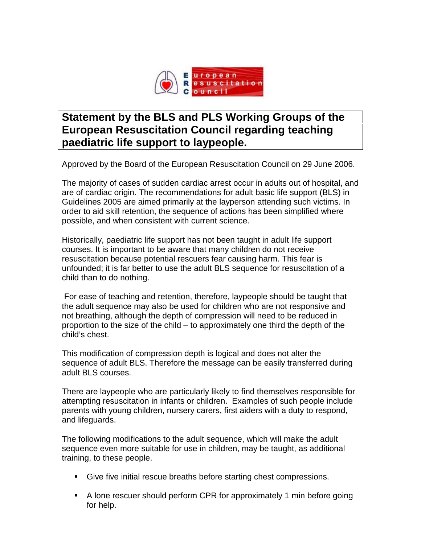

## **Statement by the BLS and PLS Working Groups of the European Resuscitation Council regarding teaching paediatric life support to laypeople.**

Approved by the Board of the European Resuscitation Council on 29 June 2006.

The majority of cases of sudden cardiac arrest occur in adults out of hospital, and are of cardiac origin. The recommendations for adult basic life support (BLS) in Guidelines 2005 are aimed primarily at the layperson attending such victims. In order to aid skill retention, the sequence of actions has been simplified where possible, and when consistent with current science.

Historically, paediatric life support has not been taught in adult life support courses. It is important to be aware that many children do not receive resuscitation because potential rescuers fear causing harm. This fear is unfounded; it is far better to use the adult BLS sequence for resuscitation of a child than to do nothing.

For ease of teaching and retention, therefore, laypeople should be taught that the adult sequence may also be used for children who are not responsive and not breathing, although the depth of compression will need to be reduced in proportion to the size of the child – to approximately one third the depth of the child's chest.

This modification of compression depth is logical and does not alter the sequence of adult BLS. Therefore the message can be easily transferred during adult BLS courses.

There are laypeople who are particularly likely to find themselves responsible for attempting resuscitation in infants or children. Examples of such people include parents with young children, nursery carers, first aiders with a duty to respond, and lifeguards.

The following modifications to the adult sequence, which will make the adult sequence even more suitable for use in children, may be taught, as additional training, to these people.

- Give five initial rescue breaths before starting chest compressions.
- A lone rescuer should perform CPR for approximately 1 min before going for help.